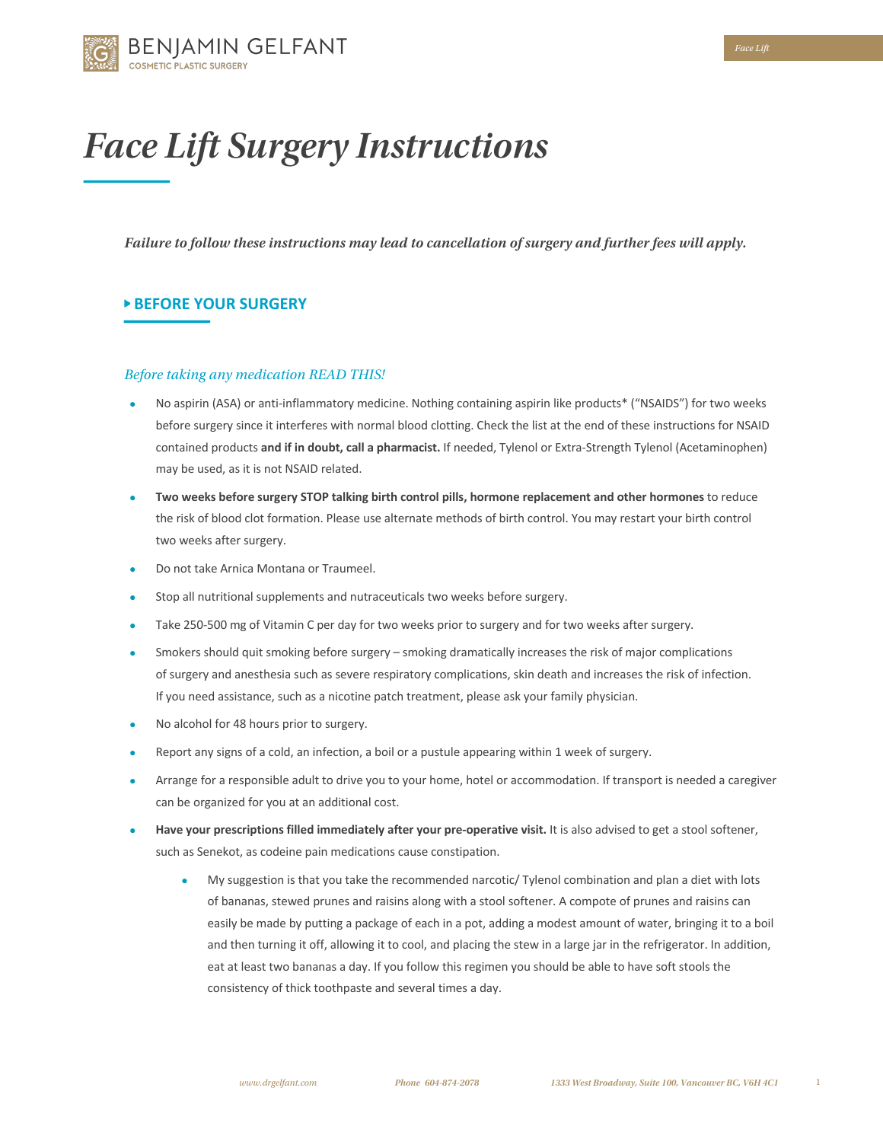

# *Face Lift Surgery Instructions*

*Failure to follow these instructions may lead to cancellation of surgery and further fees will apply.*

## **BEFORE YOUR SURGERY**

#### *Before taking any medication READ THIS!*

- No aspirin (ASA) or anti-inflammatory medicine. Nothing containing aspirin like products\* ("NSAIDS") for two weeks before surgery since it interferes with normal blood clotting. Check the list at the end of these instructions for NSAID contained products **and if in doubt, call a pharmacist.** If needed, Tylenol or Extra-Strength Tylenol (Acetaminophen) may be used, as it is not NSAID related.
- **Two weeks before surgery STOP talking birth control pills, hormone replacement and other hormones** to reduce the risk of blood clot formation. Please use alternate methods of birth control. You may restart your birth control two weeks after surgery.
- Do not take Arnica Montana or Traumeel.
- Stop all nutritional supplements and nutraceuticals two weeks before surgery.
- Take 250-500 mg of Vitamin C per day for two weeks prior to surgery and for two weeks after surgery.
- Smokers should quit smoking before surgery smoking dramatically increases the risk of major complications of surgery and anesthesia such as severe respiratory complications, skin death and increases the risk of infection. If you need assistance, such as a nicotine patch treatment, please ask your family physician.
- No alcohol for 48 hours prior to surgery.
- Report any signs of a cold, an infection, a boil or a pustule appearing within 1 week of surgery.
- Arrange for a responsible adult to drive you to your home, hotel or accommodation. If transport is needed a caregiver can be organized for you at an additional cost.
- **Have your prescriptions filled immediately after your pre-operative visit.** It is also advised to get a stool softener, such as Senekot, as codeine pain medications cause constipation.
	- My suggestion is that you take the recommended narcotic/ Tylenol combination and plan a diet with lots of bananas, stewed prunes and raisins along with a stool softener. A compote of prunes and raisins can easily be made by putting a package of each in a pot, adding a modest amount of water, bringing it to a boil and then turning it off, allowing it to cool, and placing the stew in a large jar in the refrigerator. In addition, eat at least two bananas a day. If you follow this regimen you should be able to have soft stools the consistency of thick toothpaste and several times a day.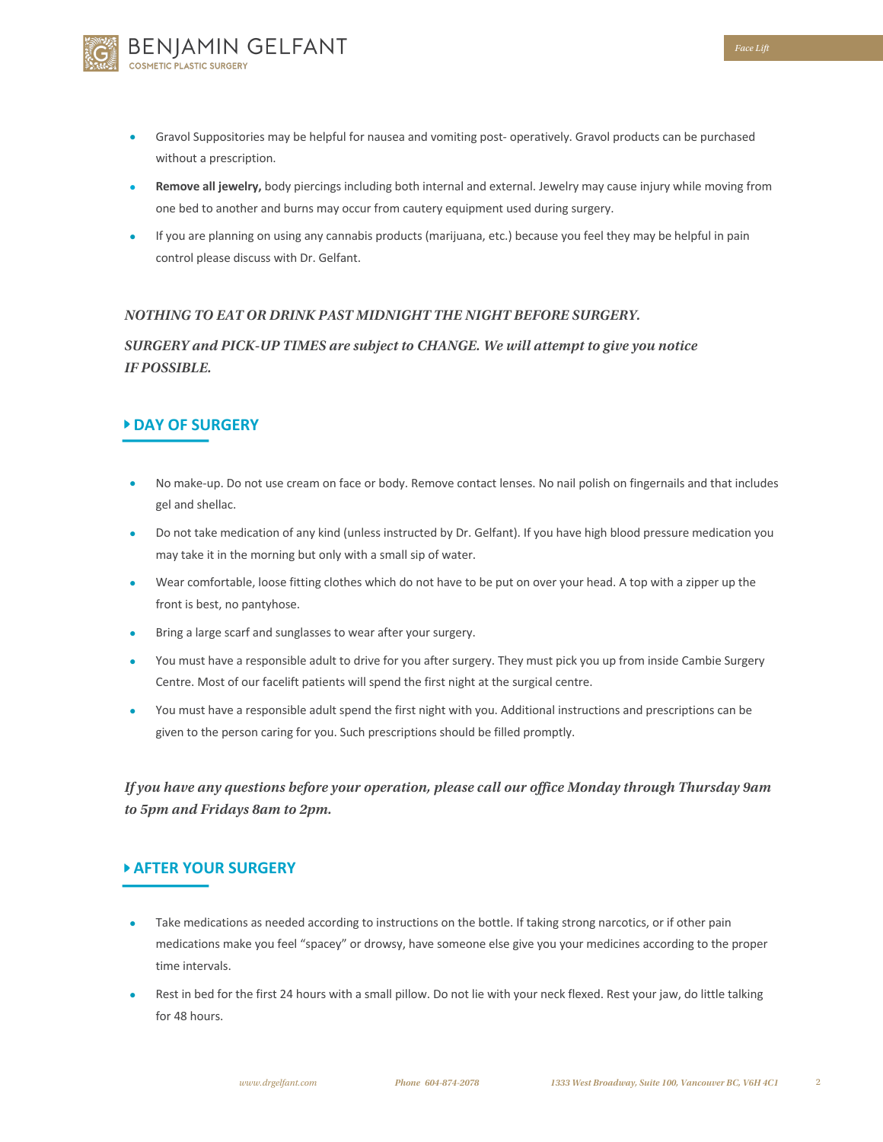

- Gravol Suppositories may be helpful for nausea and vomiting post- operatively. Gravol products can be purchased without a prescription.
- **Remove all jewelry,** body piercings including both internal and external. Jewelry may cause injury while moving from one bed to another and burns may occur from cautery equipment used during surgery.
- If you are planning on using any cannabis products (marijuana, etc.) because you feel they may be helpful in pain control please discuss with Dr. Gelfant.

### *NOTHING TO EAT OR DRINK PAST MIDNIGHT THE NIGHT BEFORE SURGERY.*

*SURGERY and PICK-UP TIMES are subject to CHANGE. We will attempt to give you notice IF POSSIBLE.* 

## **DAY OF SURGERY**

- No make-up. Do not use cream on face or body. Remove contact lenses. No nail polish on fingernails and that includes gel and shellac.
- Do not take medication of any kind (unless instructed by Dr. Gelfant). If you have high blood pressure medication you may take it in the morning but only with a small sip of water.
- Wear comfortable, loose fitting clothes which do not have to be put on over your head. A top with a zipper up the front is best, no pantyhose.
- Bring a large scarf and sunglasses to wear after your surgery.
- You must have a responsible adult to drive for you after surgery. They must pick you up from inside Cambie Surgery Centre. Most of our facelift patients will spend the first night at the surgical centre.
- You must have a responsible adult spend the first night with you. Additional instructions and prescriptions can be given to the person caring for you. Such prescriptions should be filled promptly.

*If you have any questions before your operation, please call our office Monday through Thursday 9am to 5pm and Fridays 8am to 2pm.*

## **AFTER YOUR SURGERY**

- Take medications as needed according to instructions on the bottle. If taking strong narcotics, or if other pain medications make you feel "spacey" or drowsy, have someone else give you your medicines according to the proper time intervals.
- Rest in bed for the first 24 hours with a small pillow. Do not lie with your neck flexed. Rest your jaw, do little talking for 48 hours.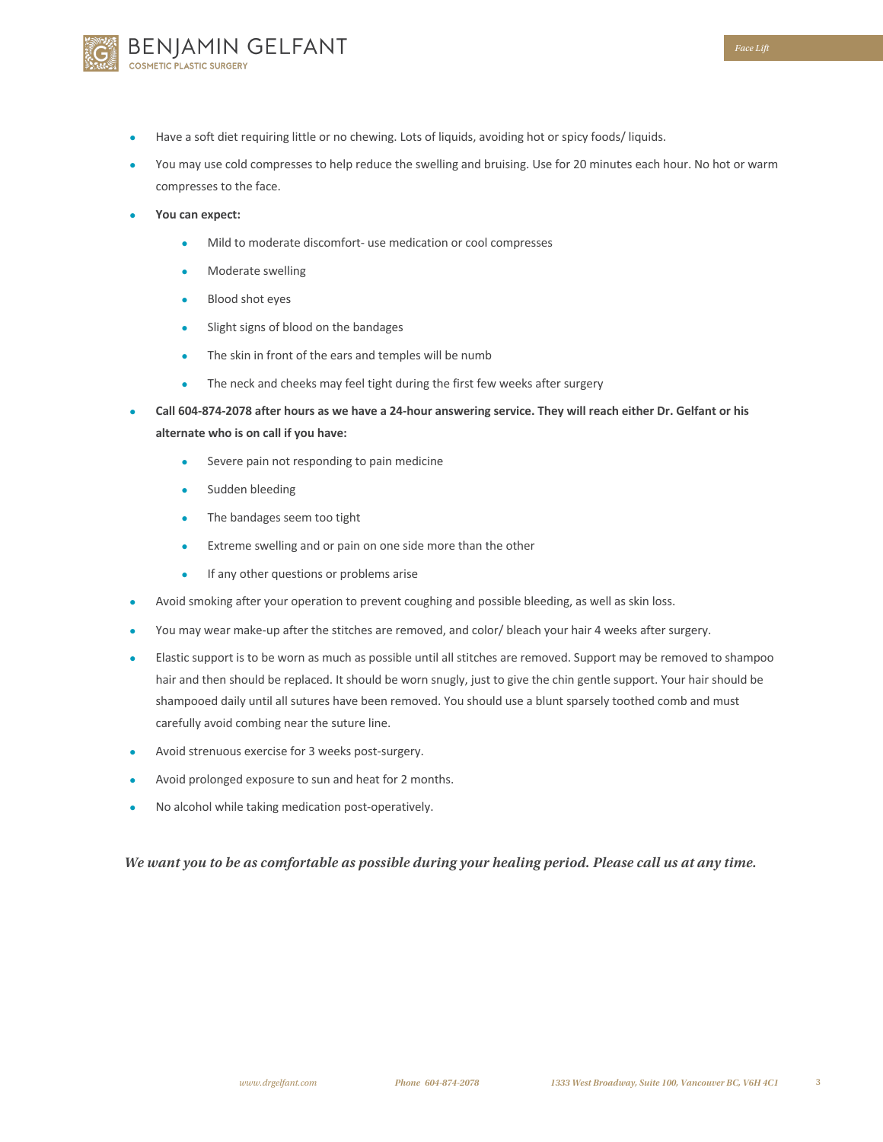- Have a soft diet requiring little or no chewing. Lots of liquids, avoiding hot or spicy foods/liquids.
- You may use cold compresses to help reduce the swelling and bruising. Use for 20 minutes each hour. No hot or warm compresses to the face.
- **You can expect:**
	- Mild to moderate discomfort- use medication or cool compresses
	- Moderate swelling

BENJAMIN GELFANT

**ETIC PLASTIC SURGERY** 

- Blood shot eyes
- Slight signs of blood on the bandages
- The skin in front of the ears and temples will be numb
- The neck and cheeks may feel tight during the first few weeks after surgery
- **Call 604-874-2078 after hours as we have a 24-hour answering service. They will reach either Dr. Gelfant or his alternate who is on call if you have:**
	- Severe pain not responding to pain medicine
	- Sudden bleeding
	- The bandages seem too tight
	- Extreme swelling and or pain on one side more than the other
	- If any other questions or problems arise
- Avoid smoking after your operation to prevent coughing and possible bleeding, as well as skin loss.
- You may wear make-up after the stitches are removed, and color/ bleach your hair 4 weeks after surgery.
- Elastic support is to be worn as much as possible until all stitches are removed. Support may be removed to shampoo hair and then should be replaced. It should be worn snugly, just to give the chin gentle support. Your hair should be shampooed daily until all sutures have been removed. You should use a blunt sparsely toothed comb and must carefully avoid combing near the suture line.
- Avoid strenuous exercise for 3 weeks post-surgery.
- Avoid prolonged exposure to sun and heat for 2 months.
- No alcohol while taking medication post-operatively.

*We want you to be as comfortable as possible during your healing period. Please call us at any time.*